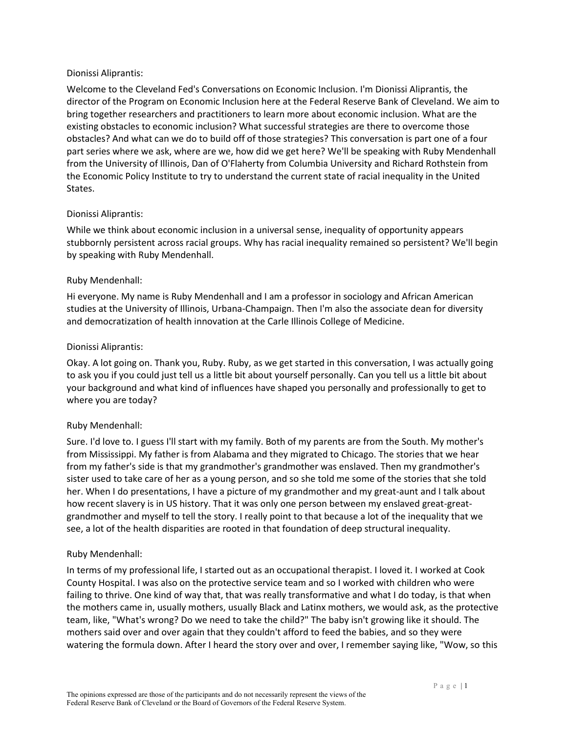#### Dionissi Aliprantis:

Welcome to the Cleveland Fed's Conversations on Economic Inclusion. I'm Dionissi Aliprantis, the director of the Program on Economic Inclusion here at the Federal Reserve Bank of Cleveland. We aim to bring together researchers and practitioners to learn more about economic inclusion. What are the existing obstacles to economic inclusion? What successful strategies are there to overcome those obstacles? And what can we do to build off of those strategies? This conversation is part one of a four part series where we ask, where are we, how did we get here? We'll be speaking with Ruby Mendenhall from the University of Illinois, Dan of O'Flaherty from Columbia University and Richard Rothstein from the Economic Policy Institute to try to understand the current state of racial inequality in the United States.

#### Dionissi Aliprantis:

While we think about economic inclusion in a universal sense, inequality of opportunity appears stubbornly persistent across racial groups. Why has racial inequality remained so persistent? We'll begin by speaking with Ruby Mendenhall.

#### Ruby Mendenhall:

Hi everyone. My name is Ruby Mendenhall and I am a professor in sociology and African American studies at the University of Illinois, Urbana-Champaign. Then I'm also the associate dean for diversity and democratization of health innovation at the Carle Illinois College of Medicine.

#### Dionissi Aliprantis:

Okay. A lot going on. Thank you, Ruby. Ruby, as we get started in this conversation, I was actually going to ask you if you could just tell us a little bit about yourself personally. Can you tell us a little bit about your background and what kind of influences have shaped you personally and professionally to get to where you are today?

#### Ruby Mendenhall:

Sure. I'd love to. I guess I'll start with my family. Both of my parents are from the South. My mother's from Mississippi. My father is from Alabama and they migrated to Chicago. The stories that we hear from my father's side is that my grandmother's grandmother was enslaved. Then my grandmother's sister used to take care of her as a young person, and so she told me some of the stories that she told her. When I do presentations, I have a picture of my grandmother and my great-aunt and I talk about how recent slavery is in US history. That it was only one person between my enslaved great-greatgrandmother and myself to tell the story. I really point to that because a lot of the inequality that we see, a lot of the health disparities are rooted in that foundation of deep structural inequality.

#### Ruby Mendenhall:

In terms of my professional life, I started out as an occupational therapist. I loved it. I worked at Cook County Hospital. I was also on the protective service team and so I worked with children who were failing to thrive. One kind of way that, that was really transformative and what I do today, is that when the mothers came in, usually mothers, usually Black and Latinx mothers, we would ask, as the protective team, like, "What's wrong? Do we need to take the child?" The baby isn't growing like it should. The mothers said over and over again that they couldn't afford to feed the babies, and so they were watering the formula down. After I heard the story over and over, I remember saying like, "Wow, so this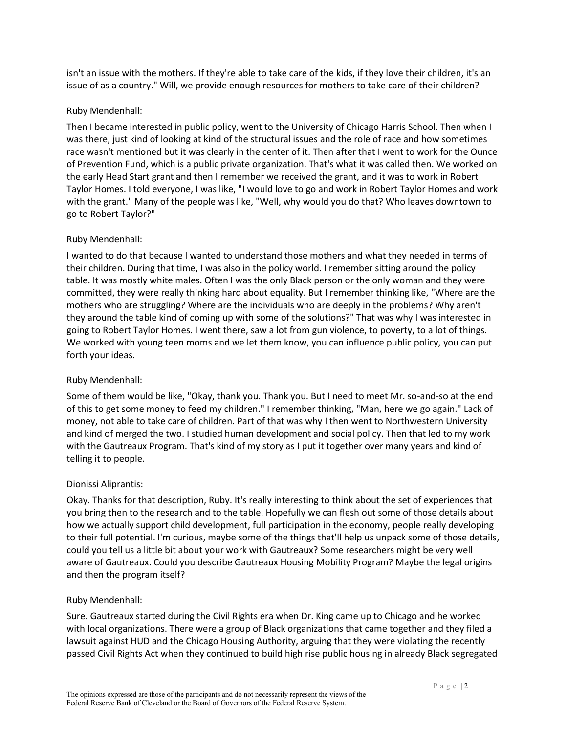isn't an issue with the mothers. If they're able to take care of the kids, if they love their children, it's an issue of as a country." Will, we provide enough resources for mothers to take care of their children?

### Ruby Mendenhall:

Then I became interested in public policy, went to the University of Chicago Harris School. Then when I was there, just kind of looking at kind of the structural issues and the role of race and how sometimes race wasn't mentioned but it was clearly in the center of it. Then after that I went to work for the Ounce of Prevention Fund, which is a public private organization. That's what it was called then. We worked on the early Head Start grant and then I remember we received the grant, and it was to work in Robert Taylor Homes. I told everyone, I was like, "I would love to go and work in Robert Taylor Homes and work with the grant." Many of the people was like, "Well, why would you do that? Who leaves downtown to go to Robert Taylor?"

## Ruby Mendenhall:

I wanted to do that because I wanted to understand those mothers and what they needed in terms of their children. During that time, I was also in the policy world. I remember sitting around the policy table. It was mostly white males. Often I was the only Black person or the only woman and they were committed, they were really thinking hard about equality. But I remember thinking like, "Where are the mothers who are struggling? Where are the individuals who are deeply in the problems? Why aren't they around the table kind of coming up with some of the solutions?" That was why I was interested in going to Robert Taylor Homes. I went there, saw a lot from gun violence, to poverty, to a lot of things. We worked with young teen moms and we let them know, you can influence public policy, you can put forth your ideas.

#### Ruby Mendenhall:

Some of them would be like, "Okay, thank you. Thank you. But I need to meet Mr. so-and-so at the end of this to get some money to feed my children." I remember thinking, "Man, here we go again." Lack of money, not able to take care of children. Part of that was why I then went to Northwestern University and kind of merged the two. I studied human development and social policy. Then that led to my work with the Gautreaux Program. That's kind of my story as I put it together over many years and kind of telling it to people.

#### Dionissi Aliprantis:

Okay. Thanks for that description, Ruby. It's really interesting to think about the set of experiences that you bring then to the research and to the table. Hopefully we can flesh out some of those details about how we actually support child development, full participation in the economy, people really developing to their full potential. I'm curious, maybe some of the things that'll help us unpack some of those details, could you tell us a little bit about your work with Gautreaux? Some researchers might be very well aware of Gautreaux. Could you describe Gautreaux Housing Mobility Program? Maybe the legal origins and then the program itself?

#### Ruby Mendenhall:

Sure. Gautreaux started during the Civil Rights era when Dr. King came up to Chicago and he worked with local organizations. There were a group of Black organizations that came together and they filed a lawsuit against HUD and the Chicago Housing Authority, arguing that they were violating the recently passed Civil Rights Act when they continued to build high rise public housing in already Black segregated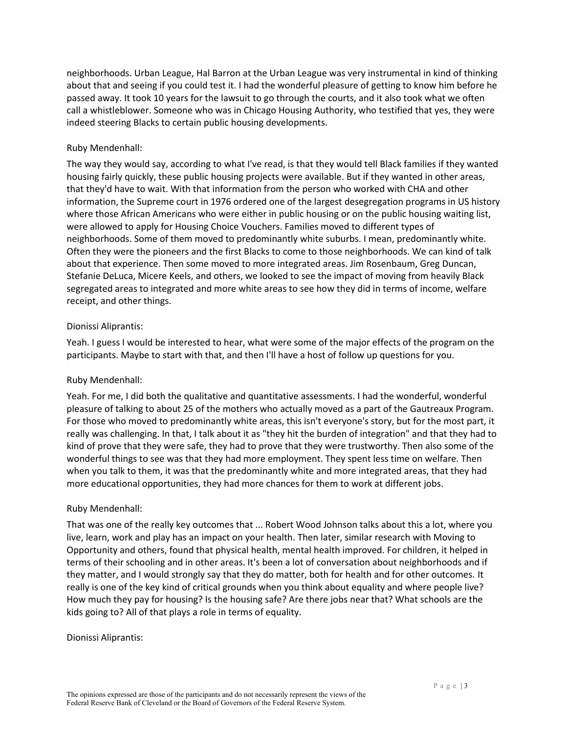neighborhoods. Urban League, Hal Barron at the Urban League was very instrumental in kind of thinking about that and seeing if you could test it. I had the wonderful pleasure of getting to know him before he passed away. It took 10 years for the lawsuit to go through the courts, and it also took what we often call a whistleblower. Someone who was in Chicago Housing Authority, who testified that yes, they were indeed steering Blacks to certain public housing developments.

### Ruby Mendenhall:

The way they would say, according to what I've read, is that they would tell Black families if they wanted housing fairly quickly, these public housing projects were available. But if they wanted in other areas, that they'd have to wait. With that information from the person who worked with CHA and other information, the Supreme court in 1976 ordered one of the largest desegregation programs in US history where those African Americans who were either in public housing or on the public housing waiting list, were allowed to apply for Housing Choice Vouchers. Families moved to different types of neighborhoods. Some of them moved to predominantly white suburbs. I mean, predominantly white. Often they were the pioneers and the first Blacks to come to those neighborhoods. We can kind of talk about that experience. Then some moved to more integrated areas. Jim Rosenbaum, Greg Duncan, Stefanie DeLuca, Micere Keels, and others, we looked to see the impact of moving from heavily Black segregated areas to integrated and more white areas to see how they did in terms of income, welfare receipt, and other things.

#### Dionissi Aliprantis:

Yeah. I guess I would be interested to hear, what were some of the major effects of the program on the participants. Maybe to start with that, and then I'll have a host of follow up questions for you.

#### Ruby Mendenhall:

Yeah. For me, I did both the qualitative and quantitative assessments. I had the wonderful, wonderful pleasure of talking to about 25 of the mothers who actually moved as a part of the Gautreaux Program. For those who moved to predominantly white areas, this isn't everyone's story, but for the most part, it really was challenging. In that, I talk about it as "they hit the burden of integration" and that they had to kind of prove that they were safe, they had to prove that they were trustworthy. Then also some of the wonderful things to see was that they had more employment. They spent less time on welfare. Then when you talk to them, it was that the predominantly white and more integrated areas, that they had more educational opportunities, they had more chances for them to work at different jobs.

# Ruby Mendenhall:

That was one of the really key outcomes that ... Robert Wood Johnson talks about this a lot, where you live, learn, work and play has an impact on your health. Then later, similar research with Moving to Opportunity and others, found that physical health, mental health improved. For children, it helped in terms of their schooling and in other areas. It's been a lot of conversation about neighborhoods and if they matter, and I would strongly say that they do matter, both for health and for other outcomes. It really is one of the key kind of critical grounds when you think about equality and where people live? How much they pay for housing? Is the housing safe? Are there jobs near that? What schools are the kids going to? All of that plays a role in terms of equality.

#### Dionissi Aliprantis: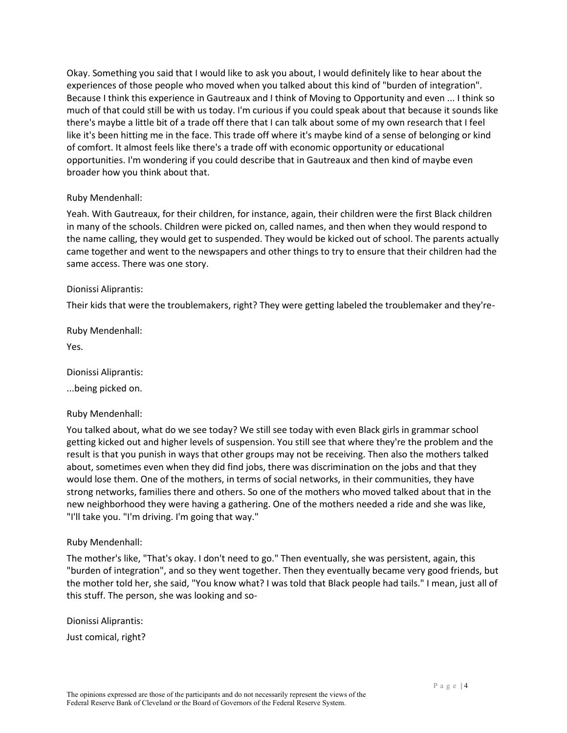Okay. Something you said that I would like to ask you about, I would definitely like to hear about the experiences of those people who moved when you talked about this kind of "burden of integration". Because I think this experience in Gautreaux and I think of Moving to Opportunity and even ... I think so much of that could still be with us today. I'm curious if you could speak about that because it sounds like there's maybe a little bit of a trade off there that I can talk about some of my own research that I feel like it's been hitting me in the face. This trade off where it's maybe kind of a sense of belonging or kind of comfort. It almost feels like there's a trade off with economic opportunity or educational opportunities. I'm wondering if you could describe that in Gautreaux and then kind of maybe even broader how you think about that.

#### Ruby Mendenhall:

Yeah. With Gautreaux, for their children, for instance, again, their children were the first Black children in many of the schools. Children were picked on, called names, and then when they would respond to the name calling, they would get to suspended. They would be kicked out of school. The parents actually came together and went to the newspapers and other things to try to ensure that their children had the same access. There was one story.

#### Dionissi Aliprantis:

Their kids that were the troublemakers, right? They were getting labeled the troublemaker and they're-

Ruby Mendenhall:

Yes.

Dionissi Aliprantis:

...being picked on.

#### Ruby Mendenhall:

You talked about, what do we see today? We still see today with even Black girls in grammar school getting kicked out and higher levels of suspension. You still see that where they're the problem and the result is that you punish in ways that other groups may not be receiving. Then also the mothers talked about, sometimes even when they did find jobs, there was discrimination on the jobs and that they would lose them. One of the mothers, in terms of social networks, in their communities, they have strong networks, families there and others. So one of the mothers who moved talked about that in the new neighborhood they were having a gathering. One of the mothers needed a ride and she was like, "I'll take you. "I'm driving. I'm going that way."

#### Ruby Mendenhall:

The mother's like, "That's okay. I don't need to go." Then eventually, she was persistent, again, this "burden of integration", and so they went together. Then they eventually became very good friends, but the mother told her, she said, "You know what? I was told that Black people had tails." I mean, just all of this stuff. The person, she was looking and so-

Dionissi Aliprantis:

Just comical, right?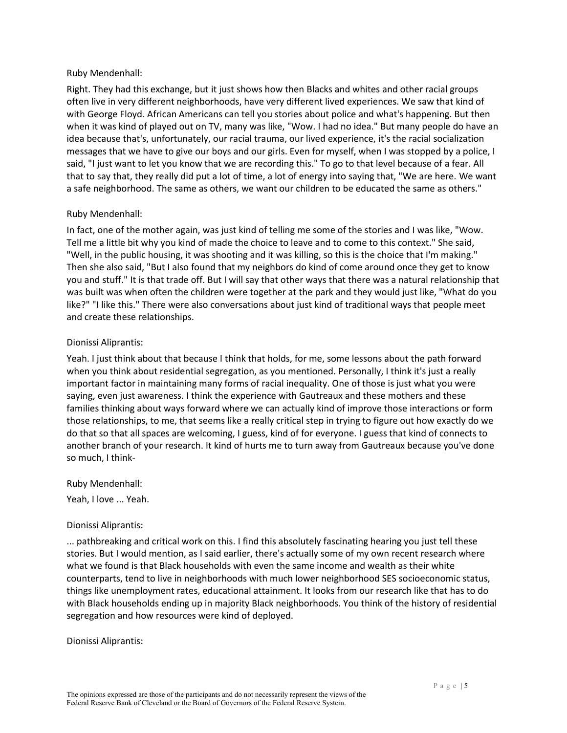#### Ruby Mendenhall:

Right. They had this exchange, but it just shows how then Blacks and whites and other racial groups often live in very different neighborhoods, have very different lived experiences. We saw that kind of with George Floyd. African Americans can tell you stories about police and what's happening. But then when it was kind of played out on TV, many was like, "Wow. I had no idea." But many people do have an idea because that's, unfortunately, our racial trauma, our lived experience, it's the racial socialization messages that we have to give our boys and our girls. Even for myself, when I was stopped by a police, I said, "I just want to let you know that we are recording this." To go to that level because of a fear. All that to say that, they really did put a lot of time, a lot of energy into saying that, "We are here. We want a safe neighborhood. The same as others, we want our children to be educated the same as others."

#### Ruby Mendenhall:

In fact, one of the mother again, was just kind of telling me some of the stories and I was like, "Wow. Tell me a little bit why you kind of made the choice to leave and to come to this context." She said, "Well, in the public housing, it was shooting and it was killing, so this is the choice that I'm making." Then she also said, "But I also found that my neighbors do kind of come around once they get to know you and stuff." It is that trade off. But I will say that other ways that there was a natural relationship that was built was when often the children were together at the park and they would just like, "What do you like?" "I like this." There were also conversations about just kind of traditional ways that people meet and create these relationships.

#### Dionissi Aliprantis:

Yeah. I just think about that because I think that holds, for me, some lessons about the path forward when you think about residential segregation, as you mentioned. Personally, I think it's just a really important factor in maintaining many forms of racial inequality. One of those is just what you were saying, even just awareness. I think the experience with Gautreaux and these mothers and these families thinking about ways forward where we can actually kind of improve those interactions or form those relationships, to me, that seems like a really critical step in trying to figure out how exactly do we do that so that all spaces are welcoming, I guess, kind of for everyone. I guess that kind of connects to another branch of your research. It kind of hurts me to turn away from Gautreaux because you've done so much, I think-

Ruby Mendenhall:

Yeah, I love ... Yeah.

#### Dionissi Aliprantis:

... pathbreaking and critical work on this. I find this absolutely fascinating hearing you just tell these stories. But I would mention, as I said earlier, there's actually some of my own recent research where what we found is that Black households with even the same income and wealth as their white counterparts, tend to live in neighborhoods with much lower neighborhood SES socioeconomic status, things like unemployment rates, educational attainment. It looks from our research like that has to do with Black households ending up in majority Black neighborhoods. You think of the history of residential segregation and how resources were kind of deployed.

#### Dionissi Aliprantis: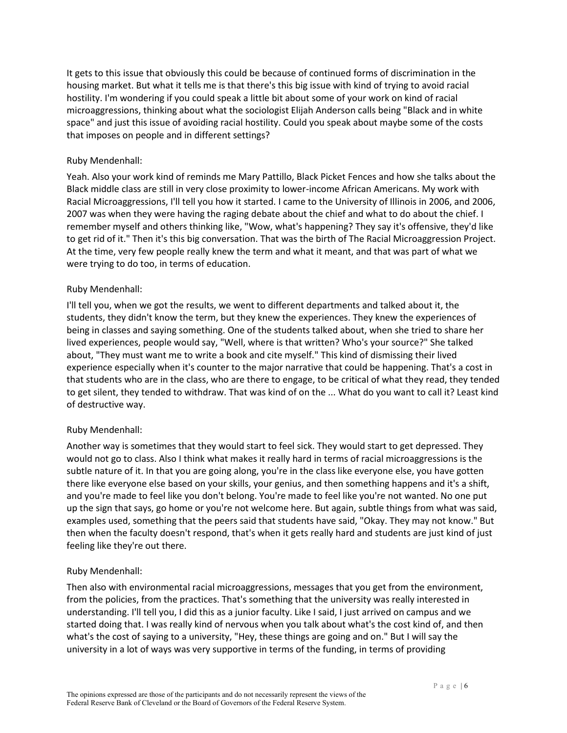It gets to this issue that obviously this could be because of continued forms of discrimination in the housing market. But what it tells me is that there's this big issue with kind of trying to avoid racial hostility. I'm wondering if you could speak a little bit about some of your work on kind of racial microaggressions, thinking about what the sociologist Elijah Anderson calls being "Black and in white space" and just this issue of avoiding racial hostility. Could you speak about maybe some of the costs that imposes on people and in different settings?

### Ruby Mendenhall:

Yeah. Also your work kind of reminds me Mary Pattillo, Black Picket Fences and how she talks about the Black middle class are still in very close proximity to lower-income African Americans. My work with Racial Microaggressions, I'll tell you how it started. I came to the University of Illinois in 2006, and 2006, 2007 was when they were having the raging debate about the chief and what to do about the chief. I remember myself and others thinking like, "Wow, what's happening? They say it's offensive, they'd like to get rid of it." Then it's this big conversation. That was the birth of The Racial Microaggression Project. At the time, very few people really knew the term and what it meant, and that was part of what we were trying to do too, in terms of education.

## Ruby Mendenhall:

I'll tell you, when we got the results, we went to different departments and talked about it, the students, they didn't know the term, but they knew the experiences. They knew the experiences of being in classes and saying something. One of the students talked about, when she tried to share her lived experiences, people would say, "Well, where is that written? Who's your source?" She talked about, "They must want me to write a book and cite myself." This kind of dismissing their lived experience especially when it's counter to the major narrative that could be happening. That's a cost in that students who are in the class, who are there to engage, to be critical of what they read, they tended to get silent, they tended to withdraw. That was kind of on the ... What do you want to call it? Least kind of destructive way.

# Ruby Mendenhall:

Another way is sometimes that they would start to feel sick. They would start to get depressed. They would not go to class. Also I think what makes it really hard in terms of racial microaggressions is the subtle nature of it. In that you are going along, you're in the class like everyone else, you have gotten there like everyone else based on your skills, your genius, and then something happens and it's a shift, and you're made to feel like you don't belong. You're made to feel like you're not wanted. No one put up the sign that says, go home or you're not welcome here. But again, subtle things from what was said, examples used, something that the peers said that students have said, "Okay. They may not know." But then when the faculty doesn't respond, that's when it gets really hard and students are just kind of just feeling like they're out there.

# Ruby Mendenhall:

Then also with environmental racial microaggressions, messages that you get from the environment, from the policies, from the practices. That's something that the university was really interested in understanding. I'll tell you, I did this as a junior faculty. Like I said, I just arrived on campus and we started doing that. I was really kind of nervous when you talk about what's the cost kind of, and then what's the cost of saying to a university, "Hey, these things are going and on." But I will say the university in a lot of ways was very supportive in terms of the funding, in terms of providing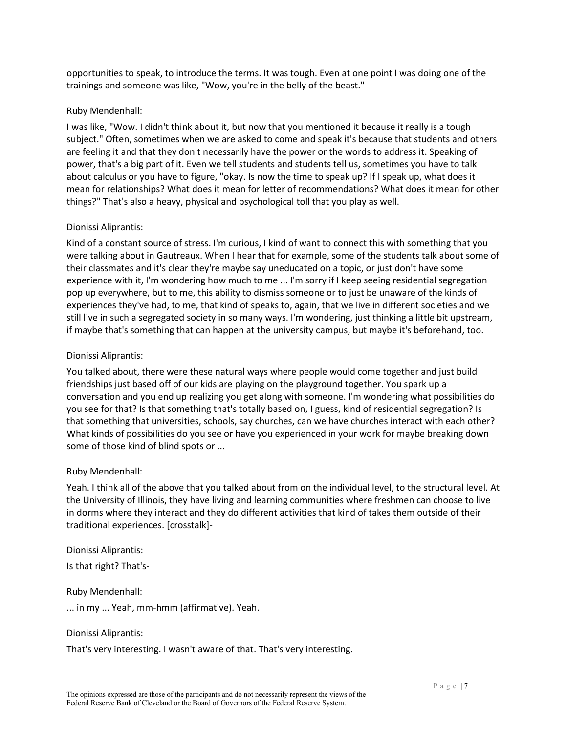opportunities to speak, to introduce the terms. It was tough. Even at one point I was doing one of the trainings and someone was like, "Wow, you're in the belly of the beast."

#### Ruby Mendenhall:

I was like, "Wow. I didn't think about it, but now that you mentioned it because it really is a tough subject." Often, sometimes when we are asked to come and speak it's because that students and others are feeling it and that they don't necessarily have the power or the words to address it. Speaking of power, that's a big part of it. Even we tell students and students tell us, sometimes you have to talk about calculus or you have to figure, "okay. Is now the time to speak up? If I speak up, what does it mean for relationships? What does it mean for letter of recommendations? What does it mean for other things?" That's also a heavy, physical and psychological toll that you play as well.

## Dionissi Aliprantis:

Kind of a constant source of stress. I'm curious, I kind of want to connect this with something that you were talking about in Gautreaux. When I hear that for example, some of the students talk about some of their classmates and it's clear they're maybe say uneducated on a topic, or just don't have some experience with it, I'm wondering how much to me ... I'm sorry if I keep seeing residential segregation pop up everywhere, but to me, this ability to dismiss someone or to just be unaware of the kinds of experiences they've had, to me, that kind of speaks to, again, that we live in different societies and we still live in such a segregated society in so many ways. I'm wondering, just thinking a little bit upstream, if maybe that's something that can happen at the university campus, but maybe it's beforehand, too.

## Dionissi Aliprantis:

You talked about, there were these natural ways where people would come together and just build friendships just based off of our kids are playing on the playground together. You spark up a conversation and you end up realizing you get along with someone. I'm wondering what possibilities do you see for that? Is that something that's totally based on, I guess, kind of residential segregation? Is that something that universities, schools, say churches, can we have churches interact with each other? What kinds of possibilities do you see or have you experienced in your work for maybe breaking down some of those kind of blind spots or ...

# Ruby Mendenhall:

Yeah. I think all of the above that you talked about from on the individual level, to the structural level. At the University of Illinois, they have living and learning communities where freshmen can choose to live in dorms where they interact and they do different activities that kind of takes them outside of their traditional experiences. [crosstalk]-

Dionissi Aliprantis: Is that right? That's-

Ruby Mendenhall:

... in my ... Yeah, mm-hmm (affirmative). Yeah.

Dionissi Aliprantis:

That's very interesting. I wasn't aware of that. That's very interesting.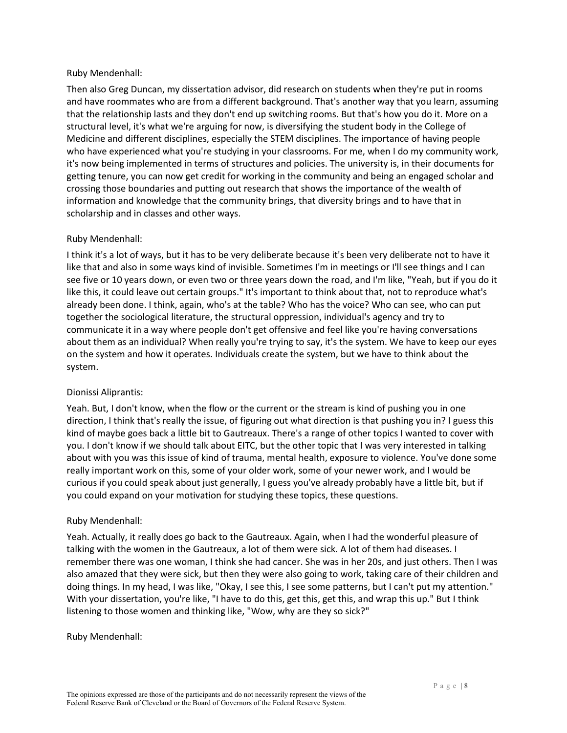### Ruby Mendenhall:

Then also Greg Duncan, my dissertation advisor, did research on students when they're put in rooms and have roommates who are from a different background. That's another way that you learn, assuming that the relationship lasts and they don't end up switching rooms. But that's how you do it. More on a structural level, it's what we're arguing for now, is diversifying the student body in the College of Medicine and different disciplines, especially the STEM disciplines. The importance of having people who have experienced what you're studying in your classrooms. For me, when I do my community work, it's now being implemented in terms of structures and policies. The university is, in their documents for getting tenure, you can now get credit for working in the community and being an engaged scholar and crossing those boundaries and putting out research that shows the importance of the wealth of information and knowledge that the community brings, that diversity brings and to have that in scholarship and in classes and other ways.

## Ruby Mendenhall:

I think it's a lot of ways, but it has to be very deliberate because it's been very deliberate not to have it like that and also in some ways kind of invisible. Sometimes I'm in meetings or I'll see things and I can see five or 10 years down, or even two or three years down the road, and I'm like, "Yeah, but if you do it like this, it could leave out certain groups." It's important to think about that, not to reproduce what's already been done. I think, again, who's at the table? Who has the voice? Who can see, who can put together the sociological literature, the structural oppression, individual's agency and try to communicate it in a way where people don't get offensive and feel like you're having conversations about them as an individual? When really you're trying to say, it's the system. We have to keep our eyes on the system and how it operates. Individuals create the system, but we have to think about the system.

# Dionissi Aliprantis:

Yeah. But, I don't know, when the flow or the current or the stream is kind of pushing you in one direction, I think that's really the issue, of figuring out what direction is that pushing you in? I guess this kind of maybe goes back a little bit to Gautreaux. There's a range of other topics I wanted to cover with you. I don't know if we should talk about EITC, but the other topic that I was very interested in talking about with you was this issue of kind of trauma, mental health, exposure to violence. You've done some really important work on this, some of your older work, some of your newer work, and I would be curious if you could speak about just generally, I guess you've already probably have a little bit, but if you could expand on your motivation for studying these topics, these questions.

#### Ruby Mendenhall:

Yeah. Actually, it really does go back to the Gautreaux. Again, when I had the wonderful pleasure of talking with the women in the Gautreaux, a lot of them were sick. A lot of them had diseases. I remember there was one woman, I think she had cancer. She was in her 20s, and just others. Then I was also amazed that they were sick, but then they were also going to work, taking care of their children and doing things. In my head, I was like, "Okay, I see this, I see some patterns, but I can't put my attention." With your dissertation, you're like, "I have to do this, get this, get this, and wrap this up." But I think listening to those women and thinking like, "Wow, why are they so sick?"

#### Ruby Mendenhall: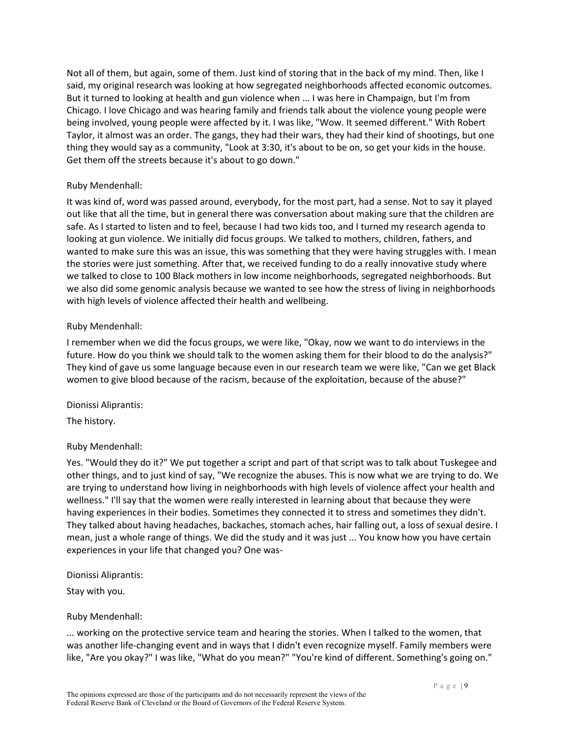Not all of them, but again, some of them. Just kind of storing that in the back of my mind. Then, like I said, my original research was looking at how segregated neighborhoods affected economic outcomes. But it turned to looking at health and gun violence when ... I was here in Champaign, but I'm from Chicago. I love Chicago and was hearing family and friends talk about the violence young people were being involved, young people were affected by it. I was like, "Wow. It seemed different." With Robert Taylor, it almost was an order. The gangs, they had their wars, they had their kind of shootings, but one thing they would say as a community, "Look at 3:30, it's about to be on, so get your kids in the house. Get them off the streets because it's about to go down."

### Ruby Mendenhall:

It was kind of, word was passed around, everybody, for the most part, had a sense. Not to say it played out like that all the time, but in general there was conversation about making sure that the children are safe. As I started to listen and to feel, because I had two kids too, and I turned my research agenda to looking at gun violence. We initially did focus groups. We talked to mothers, children, fathers, and wanted to make sure this was an issue, this was something that they were having struggles with. I mean the stories were just something. After that, we received funding to do a really innovative study where we talked to close to 100 Black mothers in low income neighborhoods, segregated neighborhoods. But we also did some genomic analysis because we wanted to see how the stress of living in neighborhoods with high levels of violence affected their health and wellbeing.

#### Ruby Mendenhall:

I remember when we did the focus groups, we were like, "Okay, now we want to do interviews in the future. How do you think we should talk to the women asking them for their blood to do the analysis?" They kind of gave us some language because even in our research team we were like, "Can we get Black women to give blood because of the racism, because of the exploitation, because of the abuse?"

#### Dionissi Aliprantis:

The history.

# Ruby Mendenhall:

Yes. "Would they do it?" We put together a script and part of that script was to talk about Tuskegee and other things, and to just kind of say, "We recognize the abuses. This is now what we are trying to do. We are trying to understand how living in neighborhoods with high levels of violence affect your health and wellness." I'll say that the women were really interested in learning about that because they were having experiences in their bodies. Sometimes they connected it to stress and sometimes they didn't. They talked about having headaches, backaches, stomach aches, hair falling out, a loss of sexual desire. I mean, just a whole range of things. We did the study and it was just ... You know how you have certain experiences in your life that changed you? One was-

Dionissi Aliprantis:

Stay with you.

#### Ruby Mendenhall:

... working on the protective service team and hearing the stories. When I talked to the women, that was another life-changing event and in ways that I didn't even recognize myself. Family members were like, "Are you okay?" I was like, "What do you mean?" "You're kind of different. Something's going on."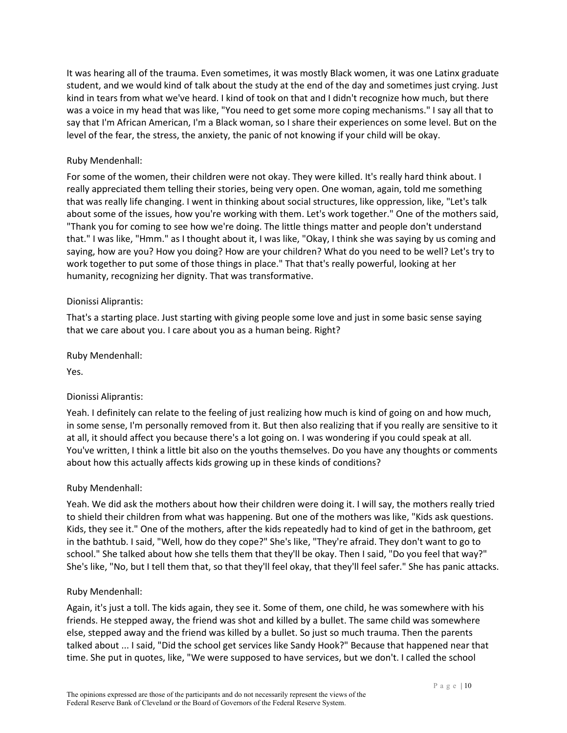It was hearing all of the trauma. Even sometimes, it was mostly Black women, it was one Latinx graduate student, and we would kind of talk about the study at the end of the day and sometimes just crying. Just kind in tears from what we've heard. I kind of took on that and I didn't recognize how much, but there was a voice in my head that was like, "You need to get some more coping mechanisms." I say all that to say that I'm African American, I'm a Black woman, so I share their experiences on some level. But on the level of the fear, the stress, the anxiety, the panic of not knowing if your child will be okay.

### Ruby Mendenhall:

For some of the women, their children were not okay. They were killed. It's really hard think about. I really appreciated them telling their stories, being very open. One woman, again, told me something that was really life changing. I went in thinking about social structures, like oppression, like, "Let's talk about some of the issues, how you're working with them. Let's work together." One of the mothers said, "Thank you for coming to see how we're doing. The little things matter and people don't understand that." I was like, "Hmm." as I thought about it, I was like, "Okay, I think she was saying by us coming and saying, how are you? How you doing? How are your children? What do you need to be well? Let's try to work together to put some of those things in place." That that's really powerful, looking at her humanity, recognizing her dignity. That was transformative.

#### Dionissi Aliprantis:

That's a starting place. Just starting with giving people some love and just in some basic sense saying that we care about you. I care about you as a human being. Right?

Ruby Mendenhall:

Yes.

# Dionissi Aliprantis:

Yeah. I definitely can relate to the feeling of just realizing how much is kind of going on and how much, in some sense, I'm personally removed from it. But then also realizing that if you really are sensitive to it at all, it should affect you because there's a lot going on. I was wondering if you could speak at all. You've written, I think a little bit also on the youths themselves. Do you have any thoughts or comments about how this actually affects kids growing up in these kinds of conditions?

#### Ruby Mendenhall:

Yeah. We did ask the mothers about how their children were doing it. I will say, the mothers really tried to shield their children from what was happening. But one of the mothers was like, "Kids ask questions. Kids, they see it." One of the mothers, after the kids repeatedly had to kind of get in the bathroom, get in the bathtub. I said, "Well, how do they cope?" She's like, "They're afraid. They don't want to go to school." She talked about how she tells them that they'll be okay. Then I said, "Do you feel that way?" She's like, "No, but I tell them that, so that they'll feel okay, that they'll feel safer." She has panic attacks.

#### Ruby Mendenhall:

Again, it's just a toll. The kids again, they see it. Some of them, one child, he was somewhere with his friends. He stepped away, the friend was shot and killed by a bullet. The same child was somewhere else, stepped away and the friend was killed by a bullet. So just so much trauma. Then the parents talked about ... I said, "Did the school get services like Sandy Hook?" Because that happened near that time. She put in quotes, like, "We were supposed to have services, but we don't. I called the school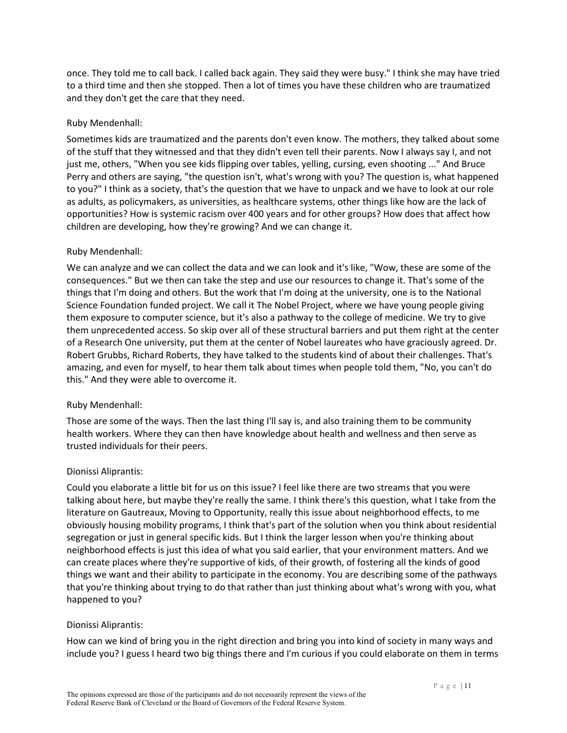once. They told me to call back. I called back again. They said they were busy." I think she may have tried to a third time and then she stopped. Then a lot of times you have these children who are traumatized and they don't get the care that they need.

### Ruby Mendenhall:

Sometimes kids are traumatized and the parents don't even know. The mothers, they talked about some of the stuff that they witnessed and that they didn't even tell their parents. Now I always say I, and not just me, others, "When you see kids flipping over tables, yelling, cursing, even shooting ..." And Bruce Perry and others are saying, "the question isn't, what's wrong with you? The question is, what happened to you?" I think as a society, that's the question that we have to unpack and we have to look at our role as adults, as policymakers, as universities, as healthcare systems, other things like how are the lack of opportunities? How is systemic racism over 400 years and for other groups? How does that affect how children are developing, how they're growing? And we can change it.

## Ruby Mendenhall:

We can analyze and we can collect the data and we can look and it's like, "Wow, these are some of the consequences." But we then can take the step and use our resources to change it. That's some of the things that I'm doing and others. But the work that I'm doing at the university, one is to the National Science Foundation funded project. We call it The Nobel Project, where we have young people giving them exposure to computer science, but it's also a pathway to the college of medicine. We try to give them unprecedented access. So skip over all of these structural barriers and put them right at the center of a Research One university, put them at the center of Nobel laureates who have graciously agreed. Dr. Robert Grubbs, Richard Roberts, they have talked to the students kind of about their challenges. That's amazing, and even for myself, to hear them talk about times when people told them, "No, you can't do this." And they were able to overcome it.

# Ruby Mendenhall:

Those are some of the ways. Then the last thing I'll say is, and also training them to be community health workers. Where they can then have knowledge about health and wellness and then serve as trusted individuals for their peers.

#### Dionissi Aliprantis:

Could you elaborate a little bit for us on this issue? I feel like there are two streams that you were talking about here, but maybe they're really the same. I think there's this question, what I take from the literature on Gautreaux, Moving to Opportunity, really this issue about neighborhood effects, to me obviously housing mobility programs, I think that's part of the solution when you think about residential segregation or just in general specific kids. But I think the larger lesson when you're thinking about neighborhood effects is just this idea of what you said earlier, that your environment matters. And we can create places where they're supportive of kids, of their growth, of fostering all the kinds of good things we want and their ability to participate in the economy. You are describing some of the pathways that you're thinking about trying to do that rather than just thinking about what's wrong with you, what happened to you?

#### Dionissi Aliprantis:

How can we kind of bring you in the right direction and bring you into kind of society in many ways and include you? I guess I heard two big things there and I'm curious if you could elaborate on them in terms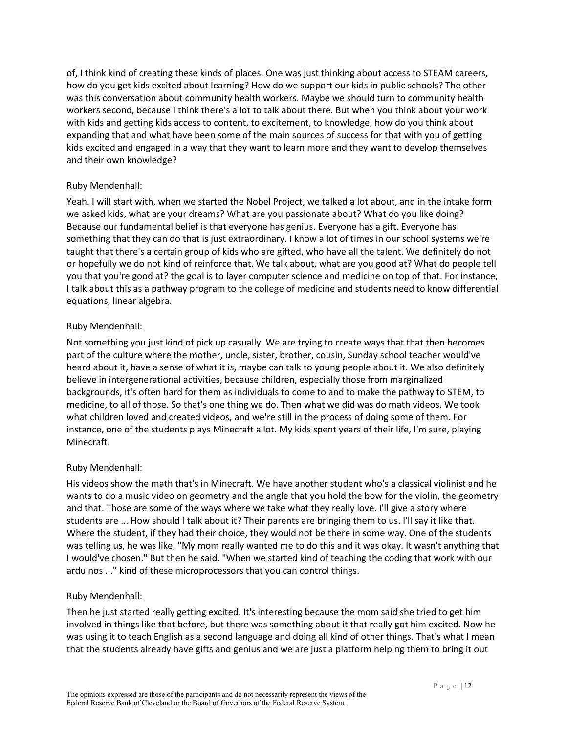of, I think kind of creating these kinds of places. One was just thinking about access to STEAM careers, how do you get kids excited about learning? How do we support our kids in public schools? The other was this conversation about community health workers. Maybe we should turn to community health workers second, because I think there's a lot to talk about there. But when you think about your work with kids and getting kids access to content, to excitement, to knowledge, how do you think about expanding that and what have been some of the main sources of success for that with you of getting kids excited and engaged in a way that they want to learn more and they want to develop themselves and their own knowledge?

## Ruby Mendenhall:

Yeah. I will start with, when we started the Nobel Project, we talked a lot about, and in the intake form we asked kids, what are your dreams? What are you passionate about? What do you like doing? Because our fundamental belief is that everyone has genius. Everyone has a gift. Everyone has something that they can do that is just extraordinary. I know a lot of times in our school systems we're taught that there's a certain group of kids who are gifted, who have all the talent. We definitely do not or hopefully we do not kind of reinforce that. We talk about, what are you good at? What do people tell you that you're good at? the goal is to layer computer science and medicine on top of that. For instance, I talk about this as a pathway program to the college of medicine and students need to know differential equations, linear algebra.

## Ruby Mendenhall:

Not something you just kind of pick up casually. We are trying to create ways that that then becomes part of the culture where the mother, uncle, sister, brother, cousin, Sunday school teacher would've heard about it, have a sense of what it is, maybe can talk to young people about it. We also definitely believe in intergenerational activities, because children, especially those from marginalized backgrounds, it's often hard for them as individuals to come to and to make the pathway to STEM, to medicine, to all of those. So that's one thing we do. Then what we did was do math videos. We took what children loved and created videos, and we're still in the process of doing some of them. For instance, one of the students plays Minecraft a lot. My kids spent years of their life, I'm sure, playing Minecraft.

#### Ruby Mendenhall:

His videos show the math that's in Minecraft. We have another student who's a classical violinist and he wants to do a music video on geometry and the angle that you hold the bow for the violin, the geometry and that. Those are some of the ways where we take what they really love. I'll give a story where students are ... How should I talk about it? Their parents are bringing them to us. I'll say it like that. Where the student, if they had their choice, they would not be there in some way. One of the students was telling us, he was like, "My mom really wanted me to do this and it was okay. It wasn't anything that I would've chosen." But then he said, "When we started kind of teaching the coding that work with our arduinos ..." kind of these microprocessors that you can control things.

# Ruby Mendenhall:

Then he just started really getting excited. It's interesting because the mom said she tried to get him involved in things like that before, but there was something about it that really got him excited. Now he was using it to teach English as a second language and doing all kind of other things. That's what I mean that the students already have gifts and genius and we are just a platform helping them to bring it out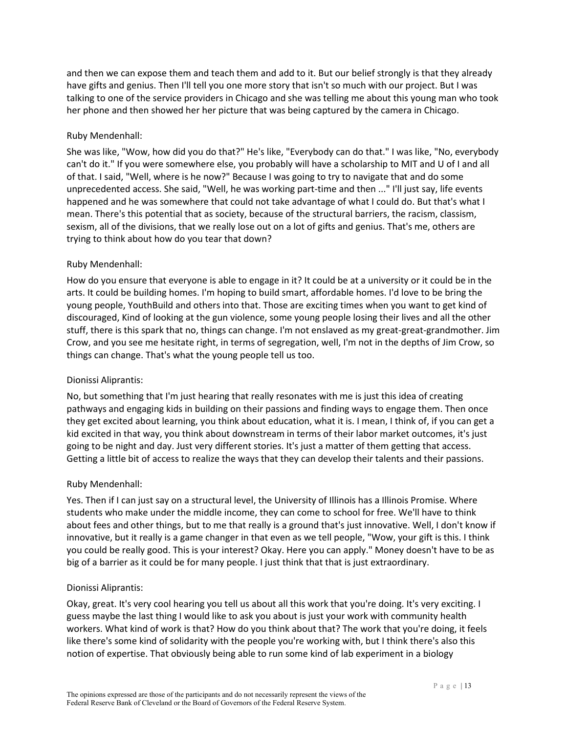and then we can expose them and teach them and add to it. But our belief strongly is that they already have gifts and genius. Then I'll tell you one more story that isn't so much with our project. But I was talking to one of the service providers in Chicago and she was telling me about this young man who took her phone and then showed her her picture that was being captured by the camera in Chicago.

### Ruby Mendenhall:

She was like, "Wow, how did you do that?" He's like, "Everybody can do that." I was like, "No, everybody can't do it." If you were somewhere else, you probably will have a scholarship to MIT and U of I and all of that. I said, "Well, where is he now?" Because I was going to try to navigate that and do some unprecedented access. She said, "Well, he was working part-time and then ..." I'll just say, life events happened and he was somewhere that could not take advantage of what I could do. But that's what I mean. There's this potential that as society, because of the structural barriers, the racism, classism, sexism, all of the divisions, that we really lose out on a lot of gifts and genius. That's me, others are trying to think about how do you tear that down?

## Ruby Mendenhall:

How do you ensure that everyone is able to engage in it? It could be at a university or it could be in the arts. It could be building homes. I'm hoping to build smart, affordable homes. I'd love to be bring the young people, YouthBuild and others into that. Those are exciting times when you want to get kind of discouraged, Kind of looking at the gun violence, some young people losing their lives and all the other stuff, there is this spark that no, things can change. I'm not enslaved as my great-great-grandmother. Jim Crow, and you see me hesitate right, in terms of segregation, well, I'm not in the depths of Jim Crow, so things can change. That's what the young people tell us too.

#### Dionissi Aliprantis:

No, but something that I'm just hearing that really resonates with me is just this idea of creating pathways and engaging kids in building on their passions and finding ways to engage them. Then once they get excited about learning, you think about education, what it is. I mean, I think of, if you can get a kid excited in that way, you think about downstream in terms of their labor market outcomes, it's just going to be night and day. Just very different stories. It's just a matter of them getting that access. Getting a little bit of access to realize the ways that they can develop their talents and their passions.

# Ruby Mendenhall:

Yes. Then if I can just say on a structural level, the University of Illinois has a Illinois Promise. Where students who make under the middle income, they can come to school for free. We'll have to think about fees and other things, but to me that really is a ground that's just innovative. Well, I don't know if innovative, but it really is a game changer in that even as we tell people, "Wow, your gift is this. I think you could be really good. This is your interest? Okay. Here you can apply." Money doesn't have to be as big of a barrier as it could be for many people. I just think that that is just extraordinary.

#### Dionissi Aliprantis:

Okay, great. It's very cool hearing you tell us about all this work that you're doing. It's very exciting. I guess maybe the last thing I would like to ask you about is just your work with community health workers. What kind of work is that? How do you think about that? The work that you're doing, it feels like there's some kind of solidarity with the people you're working with, but I think there's also this notion of expertise. That obviously being able to run some kind of lab experiment in a biology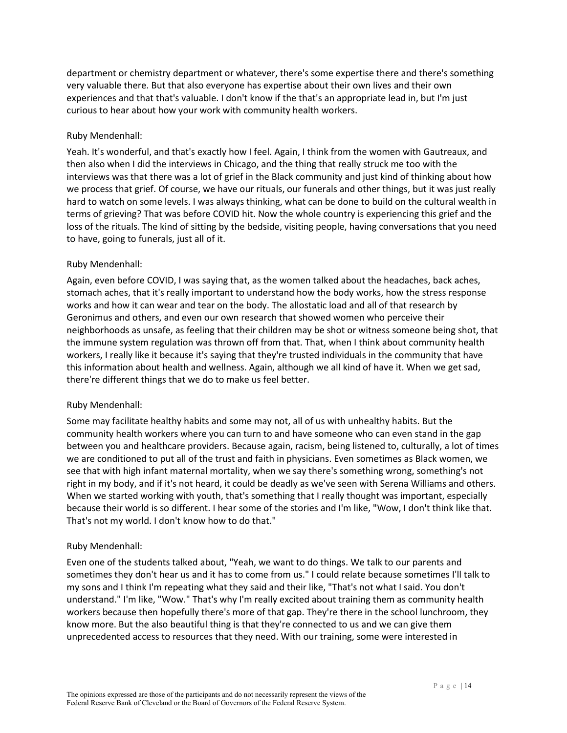department or chemistry department or whatever, there's some expertise there and there's something very valuable there. But that also everyone has expertise about their own lives and their own experiences and that that's valuable. I don't know if the that's an appropriate lead in, but I'm just curious to hear about how your work with community health workers.

### Ruby Mendenhall:

Yeah. It's wonderful, and that's exactly how I feel. Again, I think from the women with Gautreaux, and then also when I did the interviews in Chicago, and the thing that really struck me too with the interviews was that there was a lot of grief in the Black community and just kind of thinking about how we process that grief. Of course, we have our rituals, our funerals and other things, but it was just really hard to watch on some levels. I was always thinking, what can be done to build on the cultural wealth in terms of grieving? That was before COVID hit. Now the whole country is experiencing this grief and the loss of the rituals. The kind of sitting by the bedside, visiting people, having conversations that you need to have, going to funerals, just all of it.

## Ruby Mendenhall:

Again, even before COVID, I was saying that, as the women talked about the headaches, back aches, stomach aches, that it's really important to understand how the body works, how the stress response works and how it can wear and tear on the body. The allostatic load and all of that research by Geronimus and others, and even our own research that showed women who perceive their neighborhoods as unsafe, as feeling that their children may be shot or witness someone being shot, that the immune system regulation was thrown off from that. That, when I think about community health workers, I really like it because it's saying that they're trusted individuals in the community that have this information about health and wellness. Again, although we all kind of have it. When we get sad, there're different things that we do to make us feel better.

#### Ruby Mendenhall:

Some may facilitate healthy habits and some may not, all of us with unhealthy habits. But the community health workers where you can turn to and have someone who can even stand in the gap between you and healthcare providers. Because again, racism, being listened to, culturally, a lot of times we are conditioned to put all of the trust and faith in physicians. Even sometimes as Black women, we see that with high infant maternal mortality, when we say there's something wrong, something's not right in my body, and if it's not heard, it could be deadly as we've seen with Serena Williams and others. When we started working with youth, that's something that I really thought was important, especially because their world is so different. I hear some of the stories and I'm like, "Wow, I don't think like that. That's not my world. I don't know how to do that."

#### Ruby Mendenhall:

Even one of the students talked about, "Yeah, we want to do things. We talk to our parents and sometimes they don't hear us and it has to come from us." I could relate because sometimes I'll talk to my sons and I think I'm repeating what they said and their like, "That's not what I said. You don't understand." I'm like, "Wow." That's why I'm really excited about training them as community health workers because then hopefully there's more of that gap. They're there in the school lunchroom, they know more. But the also beautiful thing is that they're connected to us and we can give them unprecedented access to resources that they need. With our training, some were interested in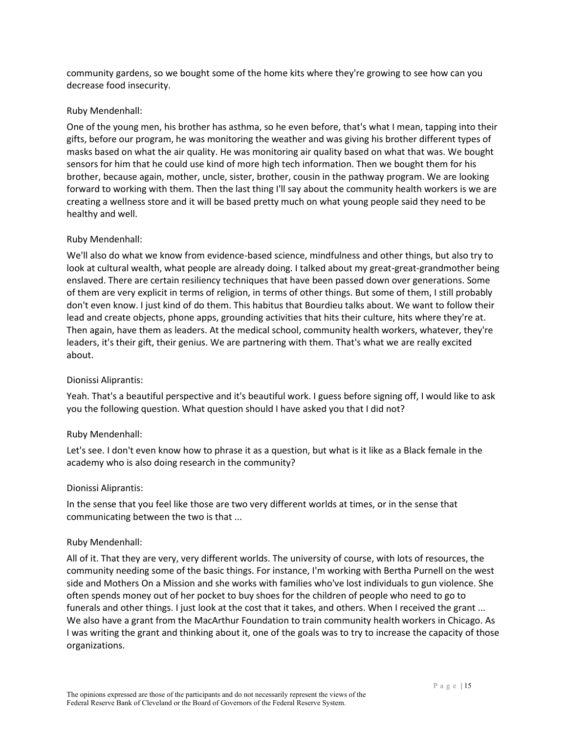community gardens, so we bought some of the home kits where they're growing to see how can you decrease food insecurity.

#### Ruby Mendenhall:

One of the young men, his brother has asthma, so he even before, that's what I mean, tapping into their gifts, before our program, he was monitoring the weather and was giving his brother different types of masks based on what the air quality. He was monitoring air quality based on what that was. We bought sensors for him that he could use kind of more high tech information. Then we bought them for his brother, because again, mother, uncle, sister, brother, cousin in the pathway program. We are looking forward to working with them. Then the last thing I'll say about the community health workers is we are creating a wellness store and it will be based pretty much on what young people said they need to be healthy and well.

#### Ruby Mendenhall:

We'll also do what we know from evidence-based science, mindfulness and other things, but also try to look at cultural wealth, what people are already doing. I talked about my great-great-grandmother being enslaved. There are certain resiliency techniques that have been passed down over generations. Some of them are very explicit in terms of religion, in terms of other things. But some of them, I still probably don't even know. I just kind of do them. This habitus that Bourdieu talks about. We want to follow their lead and create objects, phone apps, grounding activities that hits their culture, hits where they're at. Then again, have them as leaders. At the medical school, community health workers, whatever, they're leaders, it's their gift, their genius. We are partnering with them. That's what we are really excited about.

#### Dionissi Aliprantis:

Yeah. That's a beautiful perspective and it's beautiful work. I guess before signing off, I would like to ask you the following question. What question should I have asked you that I did not?

#### Ruby Mendenhall:

Let's see. I don't even know how to phrase it as a question, but what is it like as a Black female in the academy who is also doing research in the community?

#### Dionissi Aliprantis:

In the sense that you feel like those are two very different worlds at times, or in the sense that communicating between the two is that ...

#### Ruby Mendenhall:

All of it. That they are very, very different worlds. The university of course, with lots of resources, the community needing some of the basic things. For instance, I'm working with Bertha Purnell on the west side and Mothers On a Mission and she works with families who've lost individuals to gun violence. She often spends money out of her pocket to buy shoes for the children of people who need to go to funerals and other things. I just look at the cost that it takes, and others. When I received the grant ... We also have a grant from the MacArthur Foundation to train community health workers in Chicago. As I was writing the grant and thinking about it, one of the goals was to try to increase the capacity of those organizations.